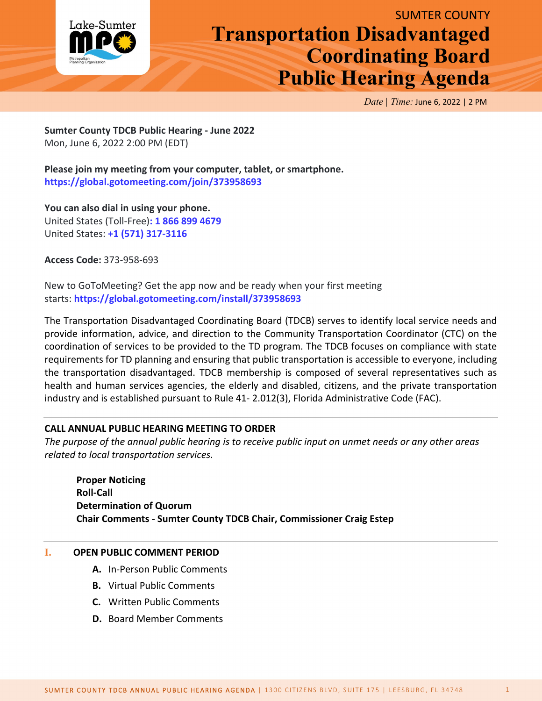

## SUMTER COUNTY **Transportation Disadvantaged Coordinating Board Public Hearing Agenda**

*Date | Time:* June 6, 2022 | 2 PM

**Sumter County TDCB Public Hearing - June 2022** Mon, June 6, 2022 2:00 PM (EDT)

**Please join my meeting from your computer, tablet, or smartphone. <https://global.gotomeeting.com/join/373958693>**

**You can also dial in using your phone.** United States (Toll-Free)**: [1 866 899 4679](tel:+18668994679,,373958693)** United States: **[+1 \(571\) 317-3116](tel:+15713173116,,373958693)**

**Access Code:** 373-958-693

New to GoToMeeting? Get the app now and be ready when your first meeting starts: **<https://global.gotomeeting.com/install/373958693>**

The Transportation Disadvantaged Coordinating Board (TDCB) serves to identify local service needs and provide information, advice, and direction to the Community Transportation Coordinator (CTC) on the coordination of services to be provided to the TD program. The TDCB focuses on compliance with state requirements for TD planning and ensuring that public transportation is accessible to everyone, including the transportation disadvantaged. TDCB membership is composed of several representatives such as health and human services agencies, the elderly and disabled, citizens, and the private transportation industry and is established pursuant to Rule 41- 2.012(3), Florida Administrative Code (FAC).

## **CALL ANNUAL PUBLIC HEARING MEETING TO ORDER**

*The purpose of the annual public hearing is to receive public input on unmet needs or any other areas related to local transportation services.*

**Proper Noticing Roll-Call Determination of Quorum Chair Comments - Sumter County TDCB Chair, Commissioner Craig Estep**

## **I. OPEN PUBLIC COMMENT PERIOD**

- **A.** In-Person Public Comments
- **B.** Virtual Public Comments
- **C.** Written Public Comments
- **D.** Board Member Comments